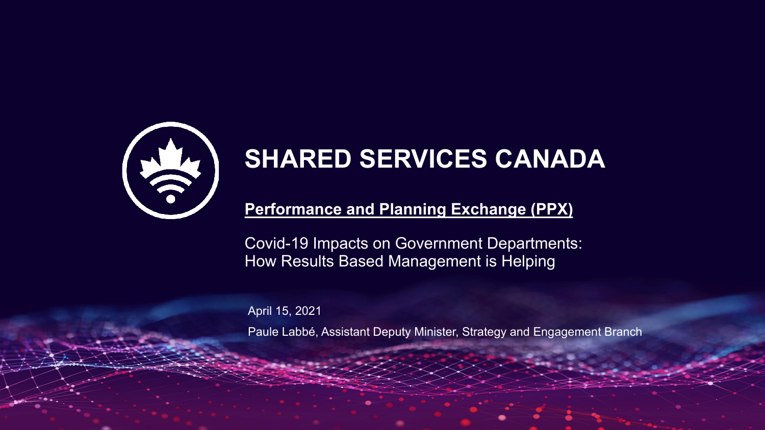

# **SHARED SERVICES CANADA**

## **Performance and Planning Exchange (PPX)**

Covid-19 Impacts on Government Departments: How Results Based Management is Helping

April 15, 2021

Paule Labbé, Assistant Deputy Minister, Strategy and Engagement Branch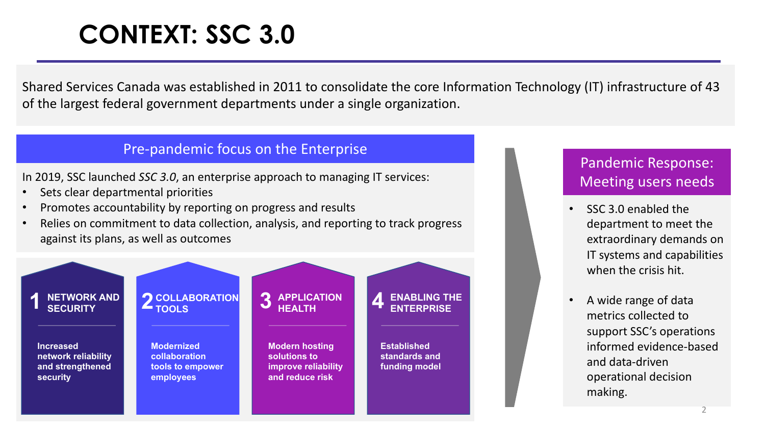# **CONTEXT: SSC 3.0**

Shared Services Canada was established in 2011 to consolidate the core Information Technology (IT) infrastructure of 43 of the largest federal government departments under a single organization.

#### Pre-pandemic focus on the Enterprise

In 2019, SSC launched *SSC 3.0*, an enterprise approach to managing IT services:

- Sets clear departmental priorities
- Promotes accountability by reporting on progress and results
- Relies on commitment to data collection, analysis, and reporting to track progress against its plans, as well as outcomes



### Pandemic Response: Meeting users needs

- SSC 3.0 enabled the department to meet the extraordinary demands on IT systems and capabilities when the crisis hit.
- A wide range of data metrics collected to support SSC's operations informed evidence-based and data-driven operational decision making.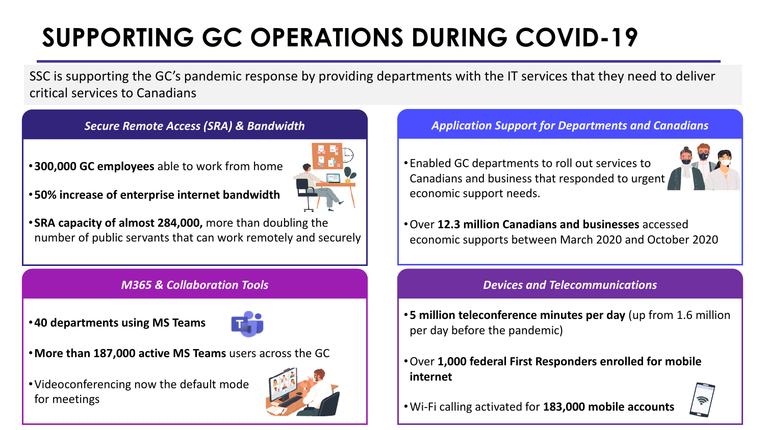# **SUPPORTING GC OPERATIONS DURING COVID-19**

SSC is supporting the GC's pandemic response by providing departments with the IT services that they need to deliver critical services to Canadians

#### *Secure Remote Access (SRA) & Bandwidth*

•**300,000 GC employees** able to work from home



•**50% increase of enterprise internet bandwidth**

• **SRA capacity of almost 284,000,** more than doubling the number of public servants that can work remotely and securely

#### *M365 & Collaboration Tools*

•**40 departments using MS Teams**



- •**More than 187,000 active MS Teams** users across the GC
- •Videoconferencing now the default mode for meetings



#### *Application Support for Departments and Canadians*

•Enabled GC departments to roll out services to Canadians and business that responded to urgent economic support needs.



•Over **12.3 million Canadians and businesses** accessed economic supports between March 2020 and October 2020

#### *Devices and Telecommunications*

- •**5 million teleconference minutes per day** (up from 1.6 million per day before the pandemic)
- •Over **1,000 federal First Responders enrolled for mobile internet**



•Wi-Fi calling activated for **183,000 mobile accounts**